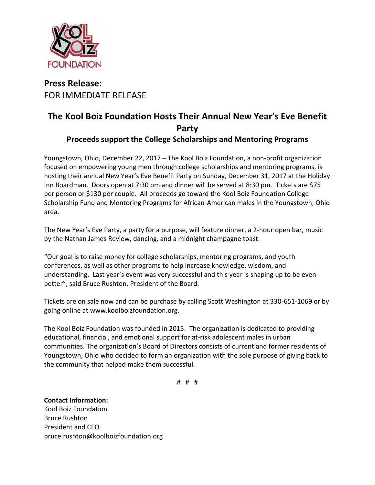

## **Press Release:** FOR IMMEDIATE RELEASE

## **The Kool Boiz Foundation Hosts Their Annual New Year's Eve Benefit Party**

## **Proceeds support the College Scholarships and Mentoring Programs**

Youngstown, Ohio, December 22, 2017 – The Kool Boiz Foundation, a non-profit organization focused on empowering young men through college scholarships and mentoring programs, is hosting their annual New Year's Eve Benefit Party on Sunday, December 31, 2017 at the Holiday Inn Boardman. Doors open at 7:30 pm and dinner will be served at 8:30 pm. Tickets are \$75 per person or \$130 per couple. All proceeds go toward the Kool Boiz Foundation College Scholarship Fund and Mentoring Programs for African-American males in the Youngstown, Ohio area.

The New Year's Eve Party, a party for a purpose, will feature dinner, a 2-hour open bar, music by the Nathan James Review, dancing, and a midnight champagne toast.

"Our goal is to raise money for college scholarships, mentoring programs, and youth conferences, as well as other programs to help increase knowledge, wisdom, and understanding. Last year's event was very successful and this year is shaping up to be even better", said Bruce Rushton, President of the Board.

Tickets are on sale now and can be purchase by calling Scott Washington at 330-651-1069 or by going online at www.koolboizfoundation.org.

The Kool Boiz Foundation was founded in 2015. The organization is dedicated to providing educational, financial, and emotional support for at-risk adolescent males in urban communities. The organization's Board of Directors consists of current and former residents of Youngstown, Ohio who decided to form an organization with the sole purpose of giving back to the community that helped make them successful.

# # #

**Contact Information:** Kool Boiz Foundation Bruce Rushton President and CEO bruce.rushton@koolboizfoundation.org